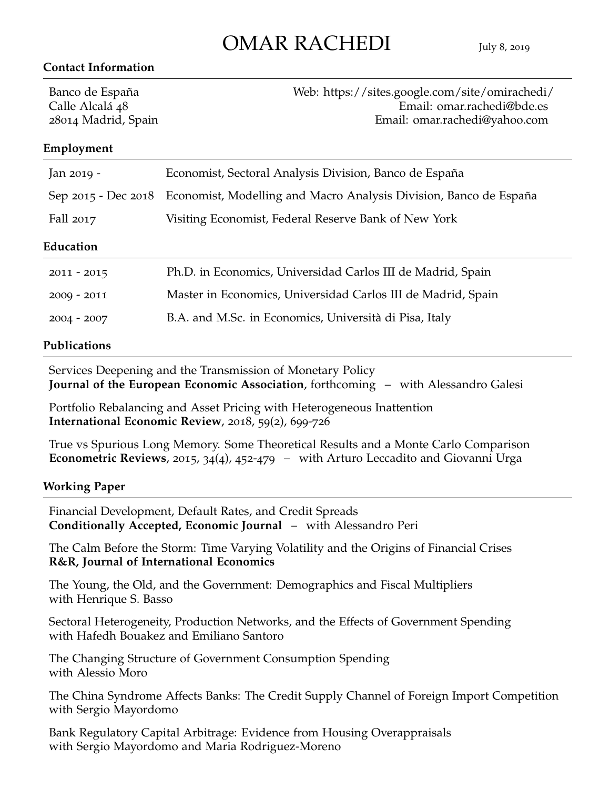# OMAR RACHEDI July <sup>8</sup>, <sup>2019</sup>

#### **Contact Information**

Banco de España [Web: https://sites.google.com/site/omirachedi/](https://sites.google.com/site/omirachedi/) Calle Alcalá 48 [Email: omar.rachedi@bde.es](mailto:omar.rachedi@bde.es) 28014 Madrid, Spain [Email: omar.rachedi@yahoo.com](mailto:omar.rachedi@yahoo.com)

### **Employment**

| Jan 2019 -    | Economist, Sectoral Analysis Division, Banco de España                                |
|---------------|---------------------------------------------------------------------------------------|
|               | Sep 2015 - Dec 2018 Economist, Modelling and Macro Analysis Division, Banco de España |
| Fall 2017     | Visiting Economist, Federal Reserve Bank of New York                                  |
| Education     |                                                                                       |
| $2011 - 2015$ | Ph.D. in Economics, Universidad Carlos III de Madrid, Spain                           |
| $2009 - 2011$ | Master in Economics, Universidad Carlos III de Madrid, Spain                          |
| $2004 - 2007$ | B.A. and M.Sc. in Economics, Università di Pisa, Italy                                |
|               |                                                                                       |

#### **Publications**

Services Deepening and the Transmission of Monetary Policy **Journal of the European Economic Association**, forthcoming – with Alessandro Galesi

Portfolio Rebalancing and Asset Pricing with Heterogeneous Inattention **International Economic Review**, 2018, 59(2), 699-726

True vs Spurious Long Memory. Some Theoretical Results and a Monte Carlo Comparison **Econometric Reviews**, 2015, 34(4), 452-479 – with Arturo Leccadito and Giovanni Urga

#### **Working Paper**

Financial Development, Default Rates, and Credit Spreads **Conditionally Accepted, Economic Journal** – with Alessandro Peri

The Calm Before the Storm: Time Varying Volatility and the Origins of Financial Crises **R&R, Journal of International Economics**

The Young, the Old, and the Government: Demographics and Fiscal Multipliers with Henrique S. Basso

Sectoral Heterogeneity, Production Networks, and the Effects of Government Spending with Hafedh Bouakez and Emiliano Santoro

The Changing Structure of Government Consumption Spending with Alessio Moro

The China Syndrome Affects Banks: The Credit Supply Channel of Foreign Import Competition with Sergio Mayordomo

Bank Regulatory Capital Arbitrage: Evidence from Housing Overappraisals with Sergio Mayordomo and Maria Rodriguez-Moreno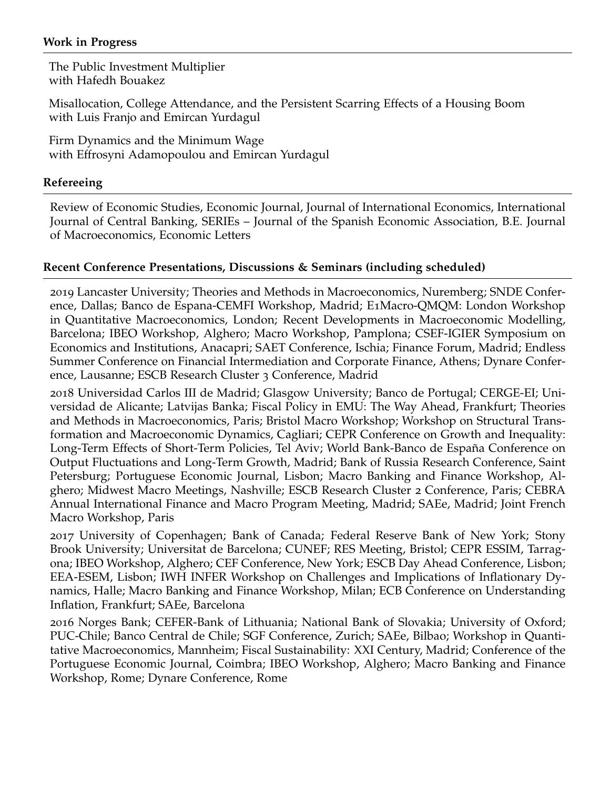### **Work in Progress**

The Public Investment Multiplier with Hafedh Bouakez

Misallocation, College Attendance, and the Persistent Scarring Effects of a Housing Boom with Luis Franjo and Emircan Yurdagul

Firm Dynamics and the Minimum Wage with Effrosyni Adamopoulou and Emircan Yurdagul

## **Refereeing**

Review of Economic Studies, Economic Journal, Journal of International Economics, International Journal of Central Banking, SERIEs – Journal of the Spanish Economic Association, B.E. Journal of Macroeconomics, Economic Letters

## **Recent Conference Presentations, Discussions & Seminars (including scheduled)**

2019 Lancaster University; Theories and Methods in Macroeconomics, Nuremberg; SNDE Conference, Dallas; Banco de Espana-CEMFI Workshop, Madrid; E1Macro-QMQM: London Workshop in Quantitative Macroeconomics, London; Recent Developments in Macroeconomic Modelling, Barcelona; IBEO Workshop, Alghero; Macro Workshop, Pamplona; CSEF-IGIER Symposium on Economics and Institutions, Anacapri; SAET Conference, Ischia; Finance Forum, Madrid; Endless Summer Conference on Financial Intermediation and Corporate Finance, Athens; Dynare Conference, Lausanne; ESCB Research Cluster 3 Conference, Madrid

2018 Universidad Carlos III de Madrid; Glasgow University; Banco de Portugal; CERGE-EI; Universidad de Alicante; Latvijas Banka; Fiscal Policy in EMU: The Way Ahead, Frankfurt; Theories and Methods in Macroeconomics, Paris; Bristol Macro Workshop; Workshop on Structural Transformation and Macroeconomic Dynamics, Cagliari; CEPR Conference on Growth and Inequality: Long-Term Effects of Short-Term Policies, Tel Aviv; World Bank-Banco de España Conference on Output Fluctuations and Long-Term Growth, Madrid; Bank of Russia Research Conference, Saint Petersburg; Portuguese Economic Journal, Lisbon; Macro Banking and Finance Workshop, Alghero; Midwest Macro Meetings, Nashville; ESCB Research Cluster 2 Conference, Paris; CEBRA Annual International Finance and Macro Program Meeting, Madrid; SAEe, Madrid; Joint French Macro Workshop, Paris

2017 University of Copenhagen; Bank of Canada; Federal Reserve Bank of New York; Stony Brook University; Universitat de Barcelona; CUNEF; RES Meeting, Bristol; CEPR ESSIM, Tarragona; IBEO Workshop, Alghero; CEF Conference, New York; ESCB Day Ahead Conference, Lisbon; EEA-ESEM, Lisbon; IWH INFER Workshop on Challenges and Implications of Inflationary Dynamics, Halle; Macro Banking and Finance Workshop, Milan; ECB Conference on Understanding Inflation, Frankfurt; SAEe, Barcelona

2016 Norges Bank; CEFER-Bank of Lithuania; National Bank of Slovakia; University of Oxford; PUC-Chile; Banco Central de Chile; SGF Conference, Zurich; SAEe, Bilbao; Workshop in Quantitative Macroeconomics, Mannheim; Fiscal Sustainability: XXI Century, Madrid; Conference of the Portuguese Economic Journal, Coimbra; IBEO Workshop, Alghero; Macro Banking and Finance Workshop, Rome; Dynare Conference, Rome